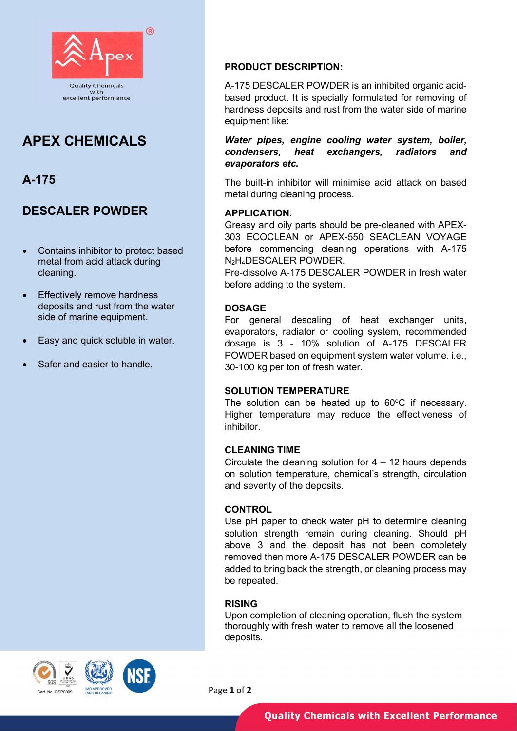

# APEX CHEMICALS

# A-175

# DESCALER POWDER

- Contains inhibitor to protect based metal from acid attack during cleaning.
- Effectively remove hardness deposits and rust from the water side of marine equipment.
- Easy and quick soluble in water.
- Safer and easier to handle.

# PRODUCT DESCRIPTION:

A-175 DESCALER POWDER is an inhibited organic acidbased product. It is specially formulated for removing of hardness deposits and rust from the water side of marine equipment like:

Water pipes, engine cooling water system, boiler, condensers, heat exchangers, radiators and evaporators etc.

The built-in inhibitor will minimise acid attack on based metal during cleaning process.

### APPLICATION:

Greasy and oily parts should be pre-cleaned with APEX-303 ECOCLEAN or APEX-550 SEACLEAN VOYAGE before commencing cleaning operations with A-175 N2H4DESCALER POWDER.

Pre-dissolve A-175 DESCALER POWDER in fresh water before adding to the system.

### DOSAGE

For general descaling of heat exchanger units, evaporators, radiator or cooling system, recommended dosage is 3 - 10% solution of A-175 DESCALER POWDER based on equipment system water volume. i.e., 30-100 kg per ton of fresh water.

#### SOLUTION TEMPERATURE

The solution can be heated up to  $60^{\circ}$ C if necessary. Higher temperature may reduce the effectiveness of inhibitor.

#### CLEANING TIME

Circulate the cleaning solution for  $4 - 12$  hours depends on solution temperature, chemical's strength, circulation and severity of the deposits.

#### **CONTROL**

Use pH paper to check water pH to determine cleaning solution strength remain during cleaning. Should pH above 3 and the deposit has not been completely removed then more A-175 DESCALER POWDER can be added to bring back the strength, or cleaning process may be repeated.

## RISING

Upon completion of cleaning operation, flush the system thoroughly with fresh water to remove all the loosened deposits.